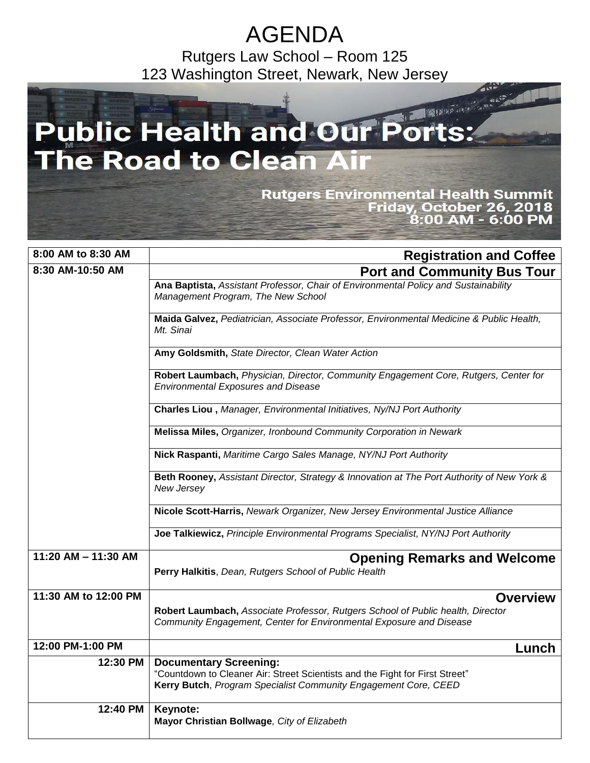## AGENDA

Rutgers Law School – Room 125 123 Washington Street, Newark, New Jersey

## 2013 12 2 11 1 **Public Health and Our P**  $\bullet$ **The Road to Clean Air Rutgers Environmental Health Summit** Friday, October 26, 2018<br>8:00 AM - 6:00 PM

| 8:00 AM to 8:30 AM    | <b>Registration and Coffee</b>                                                                                                                                                   |
|-----------------------|----------------------------------------------------------------------------------------------------------------------------------------------------------------------------------|
| 8:30 AM-10:50 AM      | <b>Port and Community Bus Tour</b>                                                                                                                                               |
|                       | Ana Baptista, Assistant Professor, Chair of Environmental Policy and Sustainability<br>Management Program, The New School                                                        |
|                       | Maida Galvez, Pediatrician, Associate Professor, Environmental Medicine & Public Health,<br>Mt. Sinai                                                                            |
|                       | Amy Goldsmith, State Director, Clean Water Action                                                                                                                                |
|                       | Robert Laumbach, Physician, Director, Community Engagement Core, Rutgers, Center for<br><b>Environmental Exposures and Disease</b>                                               |
|                       | Charles Liou, Manager, Environmental Initiatives, Ny/NJ Port Authority                                                                                                           |
|                       | Melissa Miles, Organizer, Ironbound Community Corporation in Newark                                                                                                              |
|                       | Nick Raspanti, Maritime Cargo Sales Manage, NY/NJ Port Authority                                                                                                                 |
|                       | Beth Rooney, Assistant Director, Strategy & Innovation at The Port Authority of New York &<br>New Jersey                                                                         |
|                       | Nicole Scott-Harris, Newark Organizer, New Jersey Environmental Justice Alliance                                                                                                 |
|                       | Joe Talkiewicz, Principle Environmental Programs Specialist, NY/NJ Port Authority                                                                                                |
| $11:20$ AM - 11:30 AM | <b>Opening Remarks and Welcome</b><br>Perry Halkitis, Dean, Rutgers School of Public Health                                                                                      |
| 11:30 AM to 12:00 PM  | <b>Overview</b>                                                                                                                                                                  |
|                       | Robert Laumbach, Associate Professor, Rutgers School of Public health, Director<br>Community Engagement, Center for Environmental Exposure and Disease                           |
| 12:00 PM-1:00 PM      | Lunch                                                                                                                                                                            |
| 12:30 PM              | <b>Documentary Screening:</b><br>"Countdown to Cleaner Air: Street Scientists and the Fight for First Street"<br>Kerry Butch, Program Specialist Community Engagement Core, CEED |
| 12:40 PM              | Keynote:<br>Mayor Christian Bollwage, City of Elizabeth                                                                                                                          |